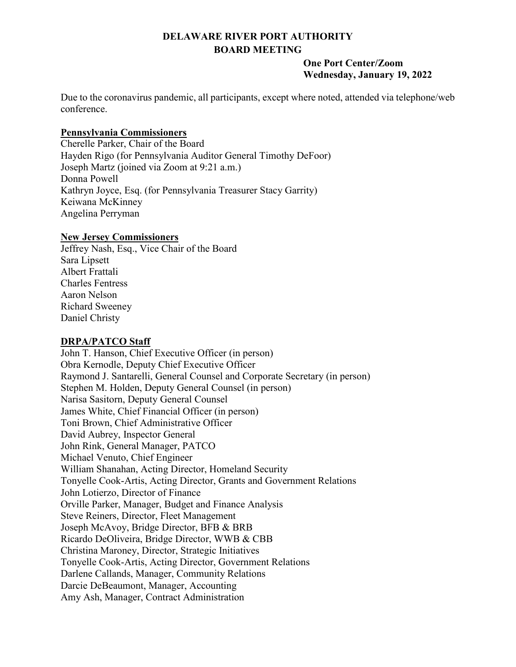# **DELAWARE RIVER PORT AUTHORITY BOARD MEETING**

#### **One Port Center/Zoom Wednesday, January 19, 2022**

Due to the coronavirus pandemic, all participants, except where noted, attended via telephone/web conference.

## **Pennsylvania Commissioners**

Cherelle Parker, Chair of the Board Hayden Rigo (for Pennsylvania Auditor General Timothy DeFoor) Joseph Martz (joined via Zoom at 9:21 a.m.) Donna Powell Kathryn Joyce, Esq. (for Pennsylvania Treasurer Stacy Garrity) Keiwana McKinney Angelina Perryman

## **New Jersey Commissioners**

Jeffrey Nash, Esq., Vice Chair of the Board Sara Lipsett Albert Frattali Charles Fentress Aaron Nelson Richard Sweeney Daniel Christy

# **DRPA/PATCO Staff**

John T. Hanson, Chief Executive Officer (in person) Obra Kernodle, Deputy Chief Executive Officer Raymond J. Santarelli, General Counsel and Corporate Secretary (in person) Stephen M. Holden, Deputy General Counsel (in person) Narisa Sasitorn, Deputy General Counsel James White, Chief Financial Officer (in person) Toni Brown, Chief Administrative Officer David Aubrey, Inspector General John Rink, General Manager, PATCO Michael Venuto, Chief Engineer William Shanahan, Acting Director, Homeland Security Tonyelle Cook-Artis, Acting Director, Grants and Government Relations John Lotierzo, Director of Finance Orville Parker, Manager, Budget and Finance Analysis Steve Reiners, Director, Fleet Management Joseph McAvoy, Bridge Director, BFB & BRB Ricardo DeOliveira, Bridge Director, WWB & CBB Christina Maroney, Director, Strategic Initiatives Tonyelle Cook-Artis, Acting Director, Government Relations Darlene Callands, Manager, Community Relations Darcie DeBeaumont, Manager, Accounting Amy Ash, Manager, Contract Administration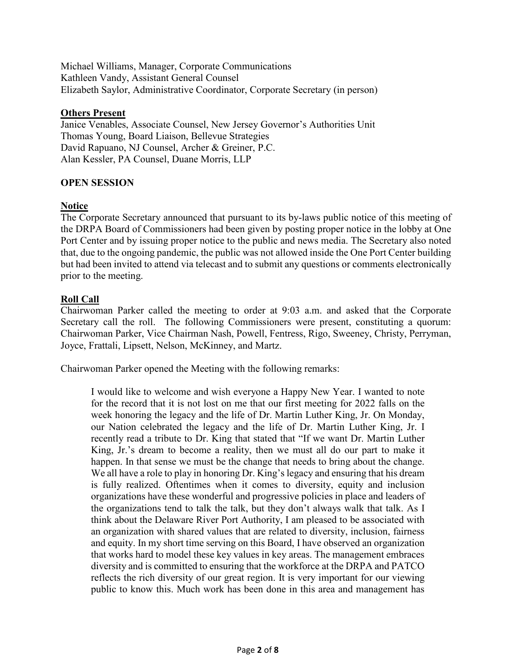Michael Williams, Manager, Corporate Communications Kathleen Vandy, Assistant General Counsel Elizabeth Saylor, Administrative Coordinator, Corporate Secretary (in person)

#### **Others Present**

Janice Venables, Associate Counsel, New Jersey Governor's Authorities Unit Thomas Young, Board Liaison, Bellevue Strategies David Rapuano, NJ Counsel, Archer & Greiner, P.C. Alan Kessler, PA Counsel, Duane Morris, LLP

## **OPEN SESSION**

## **Notice**

The Corporate Secretary announced that pursuant to its by-laws public notice of this meeting of the DRPA Board of Commissioners had been given by posting proper notice in the lobby at One Port Center and by issuing proper notice to the public and news media. The Secretary also noted that, due to the ongoing pandemic, the public was not allowed inside the One Port Center building but had been invited to attend via telecast and to submit any questions or comments electronically prior to the meeting.

## **Roll Call**

Chairwoman Parker called the meeting to order at 9:03 a.m. and asked that the Corporate Secretary call the roll. The following Commissioners were present, constituting a quorum: Chairwoman Parker, Vice Chairman Nash, Powell, Fentress, Rigo, Sweeney, Christy, Perryman, Joyce, Frattali, Lipsett, Nelson, McKinney, and Martz.

Chairwoman Parker opened the Meeting with the following remarks:

I would like to welcome and wish everyone a Happy New Year. I wanted to note for the record that it is not lost on me that our first meeting for 2022 falls on the week honoring the legacy and the life of Dr. Martin Luther King, Jr. On Monday, our Nation celebrated the legacy and the life of Dr. Martin Luther King, Jr. I recently read a tribute to Dr. King that stated that "If we want Dr. Martin Luther King, Jr.'s dream to become a reality, then we must all do our part to make it happen. In that sense we must be the change that needs to bring about the change. We all have a role to play in honoring Dr. King's legacy and ensuring that his dream is fully realized. Oftentimes when it comes to diversity, equity and inclusion organizations have these wonderful and progressive policies in place and leaders of the organizations tend to talk the talk, but they don't always walk that talk. As I think about the Delaware River Port Authority, I am pleased to be associated with an organization with shared values that are related to diversity, inclusion, fairness and equity. In my short time serving on this Board, I have observed an organization that works hard to model these key values in key areas. The management embraces diversity and is committed to ensuring that the workforce at the DRPA and PATCO reflects the rich diversity of our great region. It is very important for our viewing public to know this. Much work has been done in this area and management has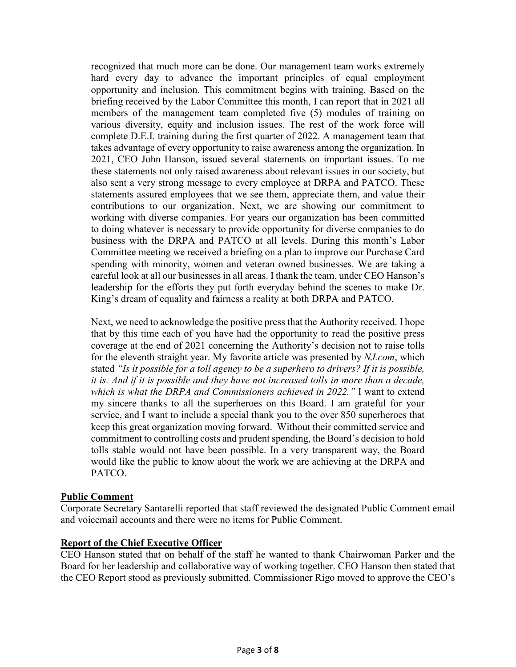recognized that much more can be done. Our management team works extremely hard every day to advance the important principles of equal employment opportunity and inclusion. This commitment begins with training. Based on the briefing received by the Labor Committee this month, I can report that in 2021 all members of the management team completed five (5) modules of training on various diversity, equity and inclusion issues. The rest of the work force will complete D.E.I. training during the first quarter of 2022. A management team that takes advantage of every opportunity to raise awareness among the organization. In 2021, CEO John Hanson, issued several statements on important issues. To me these statements not only raised awareness about relevant issues in our society, but also sent a very strong message to every employee at DRPA and PATCO. These statements assured employees that we see them, appreciate them, and value their contributions to our organization. Next, we are showing our commitment to working with diverse companies. For years our organization has been committed to doing whatever is necessary to provide opportunity for diverse companies to do business with the DRPA and PATCO at all levels. During this month's Labor Committee meeting we received a briefing on a plan to improve our Purchase Card spending with minority, women and veteran owned businesses. We are taking a careful look at all our businesses in all areas. I thank the team, under CEO Hanson's leadership for the efforts they put forth everyday behind the scenes to make Dr. King's dream of equality and fairness a reality at both DRPA and PATCO.

Next, we need to acknowledge the positive press that the Authority received. I hope that by this time each of you have had the opportunity to read the positive press coverage at the end of 2021 concerning the Authority's decision not to raise tolls for the eleventh straight year. My favorite article was presented by *NJ.com*, which stated *"Is it possible for a toll agency to be a superhero to drivers? If it is possible, it is. And if it is possible and they have not increased tolls in more than a decade, which is what the DRPA and Commissioners achieved in 2022."* I want to extend my sincere thanks to all the superheroes on this Board. I am grateful for your service, and I want to include a special thank you to the over 850 superheroes that keep this great organization moving forward. Without their committed service and commitment to controlling costs and prudent spending, the Board's decision to hold tolls stable would not have been possible. In a very transparent way, the Board would like the public to know about the work we are achieving at the DRPA and PATCO.

#### **Public Comment**

Corporate Secretary Santarelli reported that staff reviewed the designated Public Comment email and voicemail accounts and there were no items for Public Comment.

#### **Report of the Chief Executive Officer**

CEO Hanson stated that on behalf of the staff he wanted to thank Chairwoman Parker and the Board for her leadership and collaborative way of working together. CEO Hanson then stated that the CEO Report stood as previously submitted. Commissioner Rigo moved to approve the CEO's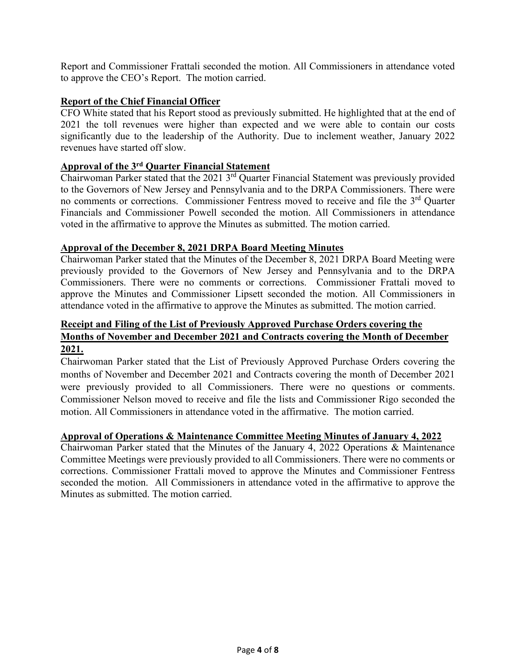Report and Commissioner Frattali seconded the motion. All Commissioners in attendance voted to approve the CEO's Report. The motion carried.

## **Report of the Chief Financial Officer**

CFO White stated that his Report stood as previously submitted. He highlighted that at the end of 2021 the toll revenues were higher than expected and we were able to contain our costs significantly due to the leadership of the Authority. Due to inclement weather, January 2022 revenues have started off slow.

# **Approval of the 3rd Quarter Financial Statement**

Chairwoman Parker stated that the 2021 3<sup>rd</sup> Quarter Financial Statement was previously provided to the Governors of New Jersey and Pennsylvania and to the DRPA Commissioners. There were no comments or corrections. Commissioner Fentress moved to receive and file the 3<sup>rd</sup> Ouarter Financials and Commissioner Powell seconded the motion. All Commissioners in attendance voted in the affirmative to approve the Minutes as submitted. The motion carried.

#### **Approval of the December 8, 2021 DRPA Board Meeting Minutes**

Chairwoman Parker stated that the Minutes of the December 8, 2021 DRPA Board Meeting were previously provided to the Governors of New Jersey and Pennsylvania and to the DRPA Commissioners. There were no comments or corrections. Commissioner Frattali moved to approve the Minutes and Commissioner Lipsett seconded the motion. All Commissioners in attendance voted in the affirmative to approve the Minutes as submitted. The motion carried.

# **Receipt and Filing of the List of Previously Approved Purchase Orders covering the Months of November and December 2021 and Contracts covering the Month of December 2021.**

Chairwoman Parker stated that the List of Previously Approved Purchase Orders covering the months of November and December 2021 and Contracts covering the month of December 2021 were previously provided to all Commissioners. There were no questions or comments. Commissioner Nelson moved to receive and file the lists and Commissioner Rigo seconded the motion. All Commissioners in attendance voted in the affirmative. The motion carried.

#### **Approval of Operations & Maintenance Committee Meeting Minutes of January 4, 2022**

Chairwoman Parker stated that the Minutes of the January 4, 2022 Operations & Maintenance Committee Meetings were previously provided to all Commissioners. There were no comments or corrections. Commissioner Frattali moved to approve the Minutes and Commissioner Fentress seconded the motion. All Commissioners in attendance voted in the affirmative to approve the Minutes as submitted. The motion carried.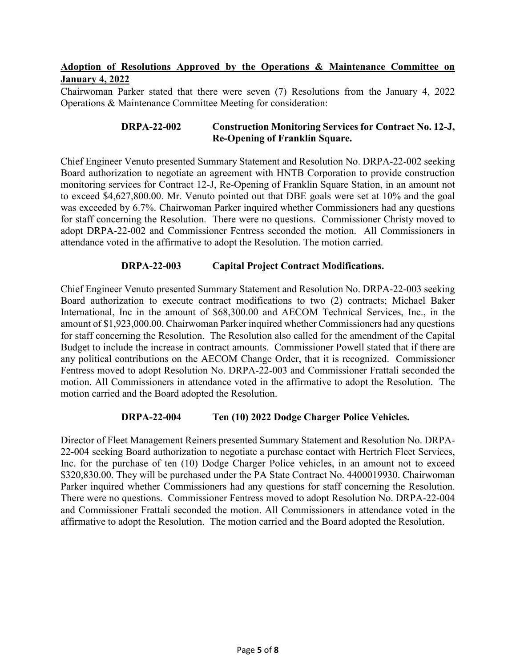## **Adoption of Resolutions Approved by the Operations & Maintenance Committee on January 4, 2022**

Chairwoman Parker stated that there were seven (7) Resolutions from the January 4, 2022 Operations & Maintenance Committee Meeting for consideration:

#### **DRPA-22-002 Construction Monitoring Services for Contract No. 12-J, Re-Opening of Franklin Square.**

Chief Engineer Venuto presented Summary Statement and Resolution No. DRPA-22-002 seeking Board authorization to negotiate an agreement with HNTB Corporation to provide construction monitoring services for Contract 12-J, Re-Opening of Franklin Square Station, in an amount not to exceed \$4,627,800.00. Mr. Venuto pointed out that DBE goals were set at 10% and the goal was exceeded by 6.7%. Chairwoman Parker inquired whether Commissioners had any questions for staff concerning the Resolution. There were no questions. Commissioner Christy moved to adopt DRPA-22-002 and Commissioner Fentress seconded the motion. All Commissioners in attendance voted in the affirmative to adopt the Resolution. The motion carried.

## **DRPA-22-003 Capital Project Contract Modifications.**

Chief Engineer Venuto presented Summary Statement and Resolution No. DRPA-22-003 seeking Board authorization to execute contract modifications to two (2) contracts; Michael Baker International, Inc in the amount of \$68,300.00 and AECOM Technical Services, Inc., in the amount of \$1,923,000.00. Chairwoman Parker inquired whether Commissioners had any questions for staff concerning the Resolution. The Resolution also called for the amendment of the Capital Budget to include the increase in contract amounts. Commissioner Powell stated that if there are any political contributions on the AECOM Change Order, that it is recognized. Commissioner Fentress moved to adopt Resolution No. DRPA-22-003 and Commissioner Frattali seconded the motion. All Commissioners in attendance voted in the affirmative to adopt the Resolution. The motion carried and the Board adopted the Resolution.

#### **DRPA-22-004 Ten (10) 2022 Dodge Charger Police Vehicles.**

Director of Fleet Management Reiners presented Summary Statement and Resolution No. DRPA-22-004 seeking Board authorization to negotiate a purchase contact with Hertrich Fleet Services, Inc. for the purchase of ten (10) Dodge Charger Police vehicles, in an amount not to exceed \$320,830.00. They will be purchased under the PA State Contract No. 4400019930. Chairwoman Parker inquired whether Commissioners had any questions for staff concerning the Resolution. There were no questions. Commissioner Fentress moved to adopt Resolution No. DRPA-22-004 and Commissioner Frattali seconded the motion. All Commissioners in attendance voted in the affirmative to adopt the Resolution. The motion carried and the Board adopted the Resolution.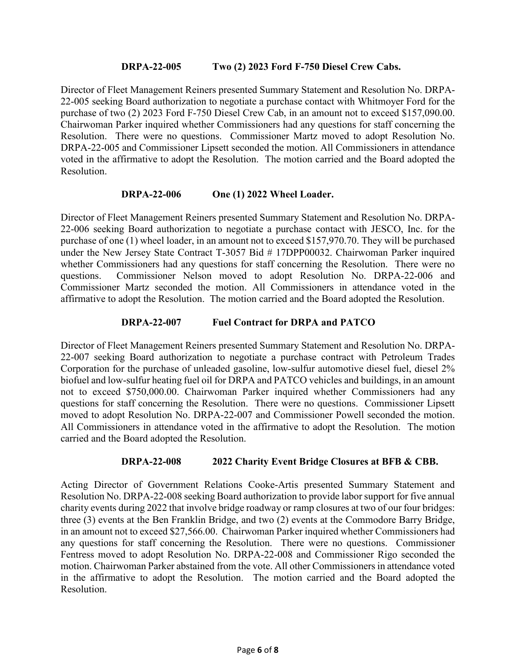#### **DRPA-22-005 Two (2) 2023 Ford F-750 Diesel Crew Cabs.**

Director of Fleet Management Reiners presented Summary Statement and Resolution No. DRPA-22-005 seeking Board authorization to negotiate a purchase contact with Whitmoyer Ford for the purchase of two (2) 2023 Ford F-750 Diesel Crew Cab, in an amount not to exceed \$157,090.00. Chairwoman Parker inquired whether Commissioners had any questions for staff concerning the Resolution. There were no questions. Commissioner Martz moved to adopt Resolution No. DRPA-22-005 and Commissioner Lipsett seconded the motion. All Commissioners in attendance voted in the affirmative to adopt the Resolution. The motion carried and the Board adopted the Resolution.

#### **DRPA-22-006 One (1) 2022 Wheel Loader.**

Director of Fleet Management Reiners presented Summary Statement and Resolution No. DRPA-22-006 seeking Board authorization to negotiate a purchase contact with JESCO, Inc. for the purchase of one (1) wheel loader, in an amount not to exceed \$157,970.70. They will be purchased under the New Jersey State Contract T-3057 Bid # 17DPP00032. Chairwoman Parker inquired whether Commissioners had any questions for staff concerning the Resolution. There were no questions. Commissioner Nelson moved to adopt Resolution No. DRPA-22-006 and Commissioner Martz seconded the motion. All Commissioners in attendance voted in the affirmative to adopt the Resolution. The motion carried and the Board adopted the Resolution.

#### **DRPA-22-007 Fuel Contract for DRPA and PATCO**

Director of Fleet Management Reiners presented Summary Statement and Resolution No. DRPA-22-007 seeking Board authorization to negotiate a purchase contract with Petroleum Trades Corporation for the purchase of unleaded gasoline, low-sulfur automotive diesel fuel, diesel 2% biofuel and low-sulfur heating fuel oil for DRPA and PATCO vehicles and buildings, in an amount not to exceed \$750,000.00. Chairwoman Parker inquired whether Commissioners had any questions for staff concerning the Resolution. There were no questions. Commissioner Lipsett moved to adopt Resolution No. DRPA-22-007 and Commissioner Powell seconded the motion. All Commissioners in attendance voted in the affirmative to adopt the Resolution. The motion carried and the Board adopted the Resolution.

#### **DRPA-22-008 2022 Charity Event Bridge Closures at BFB & CBB.**

Acting Director of Government Relations Cooke-Artis presented Summary Statement and Resolution No. DRPA-22-008 seeking Board authorization to provide labor support for five annual charity events during 2022 that involve bridge roadway or ramp closures at two of our four bridges: three (3) events at the Ben Franklin Bridge, and two (2) events at the Commodore Barry Bridge, in an amount not to exceed \$27,566.00. Chairwoman Parker inquired whether Commissioners had any questions for staff concerning the Resolution. There were no questions. Commissioner Fentress moved to adopt Resolution No. DRPA-22-008 and Commissioner Rigo seconded the motion. Chairwoman Parker abstained from the vote. All other Commissioners in attendance voted in the affirmative to adopt the Resolution. The motion carried and the Board adopted the Resolution.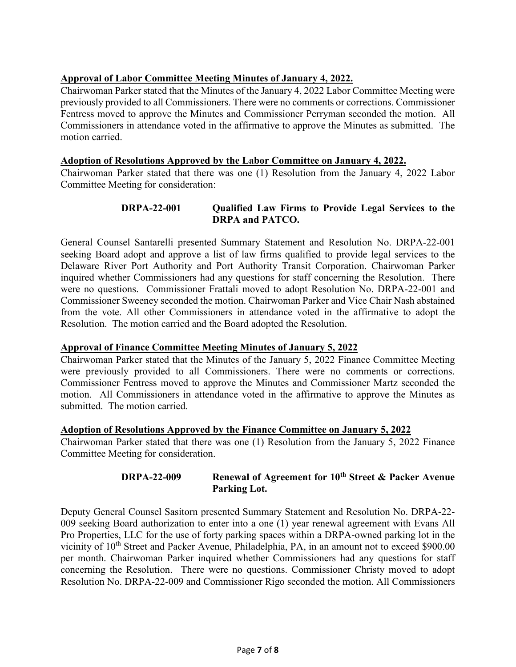# **Approval of Labor Committee Meeting Minutes of January 4, 2022.**

Chairwoman Parker stated that the Minutes of the January 4, 2022 Labor Committee Meeting were previously provided to all Commissioners. There were no comments or corrections. Commissioner Fentress moved to approve the Minutes and Commissioner Perryman seconded the motion. All Commissioners in attendance voted in the affirmative to approve the Minutes as submitted. The motion carried.

#### **Adoption of Resolutions Approved by the Labor Committee on January 4, 2022.**

Chairwoman Parker stated that there was one (1) Resolution from the January 4, 2022 Labor Committee Meeting for consideration:

## **DRPA-22-001 Qualified Law Firms to Provide Legal Services to the DRPA and PATCO.**

General Counsel Santarelli presented Summary Statement and Resolution No. DRPA-22-001 seeking Board adopt and approve a list of law firms qualified to provide legal services to the Delaware River Port Authority and Port Authority Transit Corporation. Chairwoman Parker inquired whether Commissioners had any questions for staff concerning the Resolution. There were no questions. Commissioner Frattali moved to adopt Resolution No. DRPA-22-001 and Commissioner Sweeney seconded the motion. Chairwoman Parker and Vice Chair Nash abstained from the vote. All other Commissioners in attendance voted in the affirmative to adopt the Resolution. The motion carried and the Board adopted the Resolution.

# **Approval of Finance Committee Meeting Minutes of January 5, 2022**

Chairwoman Parker stated that the Minutes of the January 5, 2022 Finance Committee Meeting were previously provided to all Commissioners. There were no comments or corrections. Commissioner Fentress moved to approve the Minutes and Commissioner Martz seconded the motion. All Commissioners in attendance voted in the affirmative to approve the Minutes as submitted. The motion carried.

#### **Adoption of Resolutions Approved by the Finance Committee on January 5, 2022**

Chairwoman Parker stated that there was one (1) Resolution from the January 5, 2022 Finance Committee Meeting for consideration.

## **DRPA-22-009 Renewal of Agreement for 10th Street & Packer Avenue Parking Lot.**

Deputy General Counsel Sasitorn presented Summary Statement and Resolution No. DRPA-22- 009 seeking Board authorization to enter into a one (1) year renewal agreement with Evans All Pro Properties, LLC for the use of forty parking spaces within a DRPA-owned parking lot in the vicinity of 10<sup>th</sup> Street and Packer Avenue, Philadelphia, PA, in an amount not to exceed \$900.00 per month. Chairwoman Parker inquired whether Commissioners had any questions for staff concerning the Resolution. There were no questions. Commissioner Christy moved to adopt Resolution No. DRPA-22-009 and Commissioner Rigo seconded the motion. All Commissioners